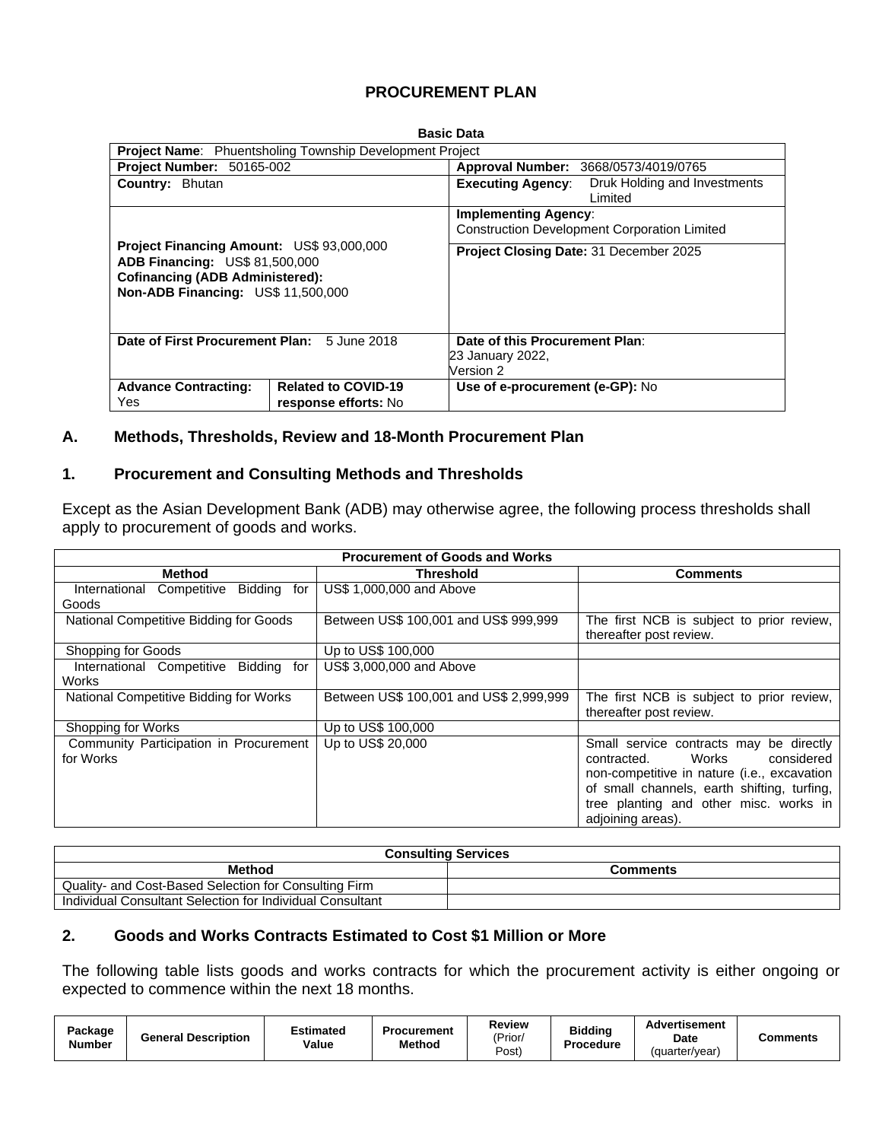## **PROCUREMENT PLAN**

| Dasit Dala                                                                                                                                                                |                                                                 |                                                                                    |  |  |  |  |  |  |  |  |
|---------------------------------------------------------------------------------------------------------------------------------------------------------------------------|-----------------------------------------------------------------|------------------------------------------------------------------------------------|--|--|--|--|--|--|--|--|
|                                                                                                                                                                           | <b>Project Name:</b> Phuentsholing Township Development Project |                                                                                    |  |  |  |  |  |  |  |  |
| <b>Project Number: 50165-002</b>                                                                                                                                          |                                                                 | Approval Number: 3668/0573/4019/0765                                               |  |  |  |  |  |  |  |  |
| <b>Country: Bhutan</b>                                                                                                                                                    |                                                                 | Druk Holding and Investments<br><b>Executing Agency:</b><br>Limited                |  |  |  |  |  |  |  |  |
|                                                                                                                                                                           |                                                                 | <b>Implementing Agency:</b><br><b>Construction Development Corporation Limited</b> |  |  |  |  |  |  |  |  |
| Project Financing Amount: US\$ 93,000,000<br><b>ADB Financing: US\$ 81,500,000</b><br><b>Cofinancing (ADB Administered):</b><br><b>Non-ADB Financing: US\$ 11,500,000</b> |                                                                 | Project Closing Date: 31 December 2025                                             |  |  |  |  |  |  |  |  |
| Date of First Procurement Plan:                                                                                                                                           | 5 June 2018                                                     | Date of this Procurement Plan:<br>23 January 2022,<br>Version 2                    |  |  |  |  |  |  |  |  |
| <b>Advance Contracting:</b><br>Yes                                                                                                                                        | <b>Related to COVID-19</b><br>response efforts: No              | Use of e-procurement (e-GP): No                                                    |  |  |  |  |  |  |  |  |

#### **Basic Data**

#### **A. Methods, Thresholds, Review and 18-Month Procurement Plan**

#### **1. Procurement and Consulting Methods and Thresholds**

Except as the Asian Development Bank (ADB) may otherwise agree, the following process thresholds shall apply to procurement of goods and works.

|                                             | <b>Procurement of Goods and Works</b>   |                                             |  |  |
|---------------------------------------------|-----------------------------------------|---------------------------------------------|--|--|
| Method                                      | Threshold                               | <b>Comments</b>                             |  |  |
| Bidding for<br>International<br>Competitive | US\$ 1,000,000 and Above                |                                             |  |  |
| Goods                                       |                                         |                                             |  |  |
| National Competitive Bidding for Goods      | Between US\$ 100,001 and US\$ 999,999   | The first NCB is subject to prior review,   |  |  |
|                                             |                                         | thereafter post review.                     |  |  |
| Shopping for Goods                          | Up to US\$ 100,000                      |                                             |  |  |
| International Competitive Bidding<br>for    | US\$ 3,000,000 and Above                |                                             |  |  |
| <b>Works</b>                                |                                         |                                             |  |  |
| National Competitive Bidding for Works      | Between US\$ 100,001 and US\$ 2,999,999 | The first NCB is subject to prior review,   |  |  |
|                                             |                                         | thereafter post review.                     |  |  |
| Shopping for Works                          | Up to US\$ 100,000                      |                                             |  |  |
| Community Participation in Procurement      | Up to US\$ 20,000                       | Small service contracts may be directly     |  |  |
| for Works                                   |                                         | considered<br>contracted. Works             |  |  |
|                                             |                                         | non-competitive in nature (i.e., excavation |  |  |
|                                             |                                         | of small channels, earth shifting, turfing, |  |  |
|                                             |                                         | tree planting and other misc. works in      |  |  |
|                                             |                                         | adjoining areas).                           |  |  |

| <b>Consulting Services</b>                                |          |  |  |  |  |  |  |
|-----------------------------------------------------------|----------|--|--|--|--|--|--|
| <b>Method</b>                                             | Comments |  |  |  |  |  |  |
| Quality- and Cost-Based Selection for Consulting Firm     |          |  |  |  |  |  |  |
| Individual Consultant Selection for Individual Consultant |          |  |  |  |  |  |  |

#### **2. Goods and Works Contracts Estimated to Cost \$1 Million or More**

The following table lists goods and works contracts for which the procurement activity is either ongoing or expected to commence within the next 18 months.

| Package<br><b>Number</b> | <b>General Description</b> | Estimated<br>Value | <b>Procurement</b><br><b>Method</b> | Review<br>'Prior <sub>/</sub><br>Post) | <b>Biddina</b><br><b>Procedure</b> | Advertisement<br><b>Date</b><br>(quarter/vear) | Comments |
|--------------------------|----------------------------|--------------------|-------------------------------------|----------------------------------------|------------------------------------|------------------------------------------------|----------|
|--------------------------|----------------------------|--------------------|-------------------------------------|----------------------------------------|------------------------------------|------------------------------------------------|----------|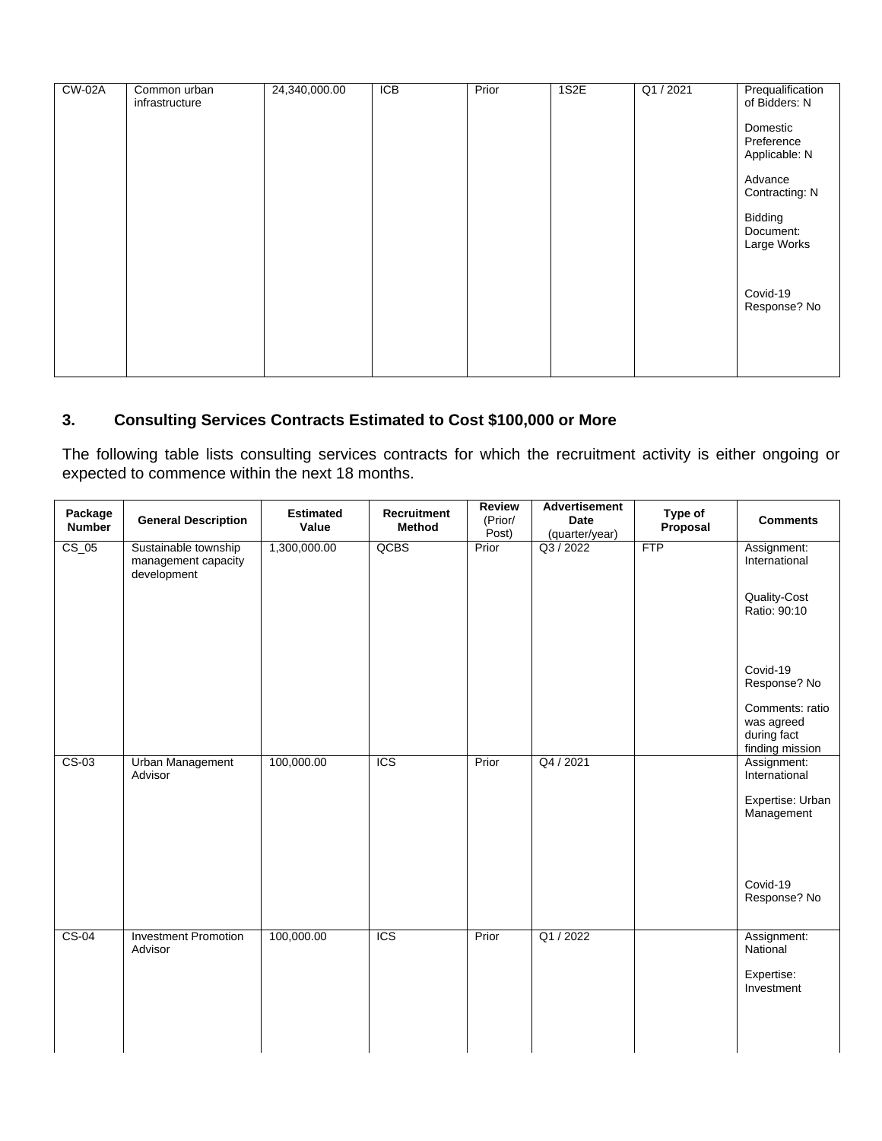| $CW-02A$ | Common urban<br>infrastructure | 24,340,000.00 | ICB | Prior | 1S2E | Q1 / 2021 | Prequalification<br>of Bidders: N       |
|----------|--------------------------------|---------------|-----|-------|------|-----------|-----------------------------------------|
|          |                                |               |     |       |      |           | Domestic<br>Preference<br>Applicable: N |
|          |                                |               |     |       |      |           | Advance<br>Contracting: N               |
|          |                                |               |     |       |      |           | Bidding<br>Document:<br>Large Works     |
|          |                                |               |     |       |      |           | Covid-19<br>Response? No                |
|          |                                |               |     |       |      |           |                                         |

## **3. Consulting Services Contracts Estimated to Cost \$100,000 or More**

The following table lists consulting services contracts for which the recruitment activity is either ongoing or expected to commence within the next 18 months.

| Package<br><b>Number</b> | <b>General Description</b>                                 | <b>Estimated</b><br>Value | <b>Recruitment</b><br><b>Method</b> | Review<br>(Prior/<br>Post) | <b>Advertisement</b><br>Date<br>(quarter/year) | Type of<br>Proposal | <b>Comments</b>                                                 |
|--------------------------|------------------------------------------------------------|---------------------------|-------------------------------------|----------------------------|------------------------------------------------|---------------------|-----------------------------------------------------------------|
| $CS_05$                  | Sustainable township<br>management capacity<br>development | 1,300,000.00              | QCBS                                | Prior                      | Q3 / 2022                                      | <b>FTP</b>          | Assignment:<br>International                                    |
|                          |                                                            |                           |                                     |                            |                                                |                     | Quality-Cost<br>Ratio: 90:10                                    |
|                          |                                                            |                           |                                     |                            |                                                |                     | Covid-19<br>Response? No                                        |
|                          |                                                            |                           |                                     |                            |                                                |                     | Comments: ratio<br>was agreed<br>during fact<br>finding mission |
| $CS-03$                  | <b>Urban Management</b><br>Advisor                         | 100,000.00                | <b>ICS</b>                          | Prior                      | Q4 / 2021                                      |                     | Assignment:<br>International<br>Expertise: Urban                |
|                          |                                                            |                           |                                     |                            |                                                |                     | Management                                                      |
|                          |                                                            |                           |                                     |                            |                                                |                     | Covid-19<br>Response? No                                        |
| $CS-04$                  | <b>Investment Promotion</b><br>Advisor                     | 100,000.00                | $\overline{ICS}$                    | Prior                      | Q1/2022                                        |                     | Assignment:<br>National                                         |
|                          |                                                            |                           |                                     |                            |                                                |                     | Expertise:<br>Investment                                        |
|                          |                                                            |                           |                                     |                            |                                                |                     |                                                                 |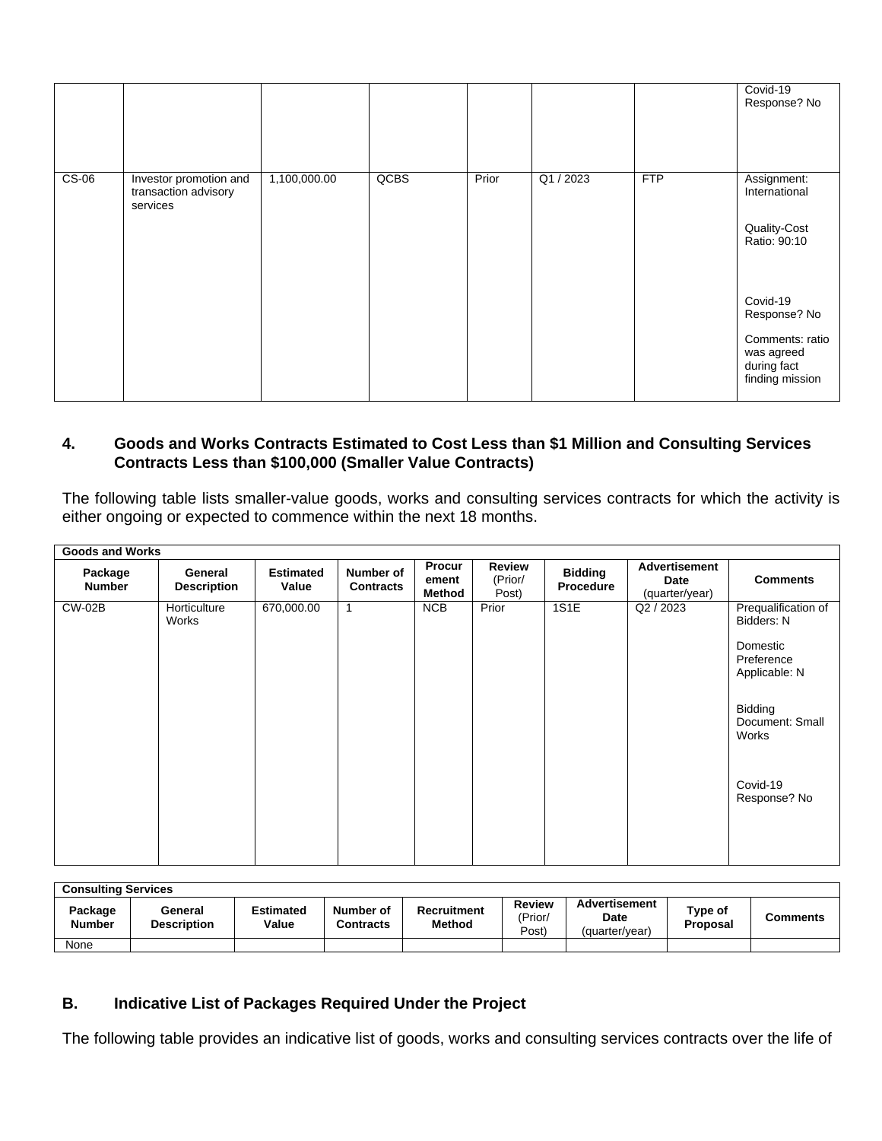|         |                                                            |              |      |       |         |            | Covid-19<br>Response? No                                                                    |
|---------|------------------------------------------------------------|--------------|------|-------|---------|------------|---------------------------------------------------------------------------------------------|
| $CS-06$ | Investor promotion and<br>transaction advisory<br>services | 1,100,000.00 | QCBS | Prior | Q1/2023 | <b>FTP</b> | Assignment:<br>International<br>Quality-Cost<br>Ratio: 90:10                                |
|         |                                                            |              |      |       |         |            | Covid-19<br>Response? No<br>Comments: ratio<br>was agreed<br>during fact<br>finding mission |

## **4. Goods and Works Contracts Estimated to Cost Less than \$1 Million and Consulting Services Contracts Less than \$100,000 (Smaller Value Contracts)**

The following table lists smaller-value goods, works and consulting services contracts for which the activity is either ongoing or expected to commence within the next 18 months.

| <b>Goods and Works</b>   |                               |                           |                               |                           |                                   |                             |                                         |                                                                                                                   |
|--------------------------|-------------------------------|---------------------------|-------------------------------|---------------------------|-----------------------------------|-----------------------------|-----------------------------------------|-------------------------------------------------------------------------------------------------------------------|
| Package<br><b>Number</b> | General<br><b>Description</b> | <b>Estimated</b><br>Value | Number of<br><b>Contracts</b> | Procur<br>ement<br>Method | <b>Review</b><br>(Prior/<br>Post) | <b>Bidding</b><br>Procedure | Advertisement<br>Date<br>(quarter/year) | <b>Comments</b>                                                                                                   |
| <b>CW-02B</b>            | Horticulture<br>Works         | 670,000.00                | 1                             | <b>NCB</b>                | Prior                             | 1S1E                        | Q2 / 2023                               | Prequalification of<br>Bidders: N<br>Domestic<br>Preference<br>Applicable: N<br><b>Bidding</b><br>Document: Small |
|                          |                               |                           |                               |                           |                                   |                             |                                         | Works<br>Covid-19<br>Response? No                                                                                 |
|                          |                               |                           |                               |                           |                                   |                             |                                         |                                                                                                                   |

| <b>Consulting Services</b> |                               |                           |                               |                                     |                            |                                         |                     |          |  |  |
|----------------------------|-------------------------------|---------------------------|-------------------------------|-------------------------------------|----------------------------|-----------------------------------------|---------------------|----------|--|--|
| Package<br><b>Number</b>   | General<br><b>Description</b> | <b>Estimated</b><br>Value | Number of<br><b>Contracts</b> | <b>Recruitment</b><br><b>Method</b> | Review<br>(Prior/<br>Post) | Advertisement<br>Date<br>(quarter/year) | Type of<br>Proposal | Comments |  |  |
| None                       |                               |                           |                               |                                     |                            |                                         |                     |          |  |  |

## **B. Indicative List of Packages Required Under the Project**

The following table provides an indicative list of goods, works and consulting services contracts over the life of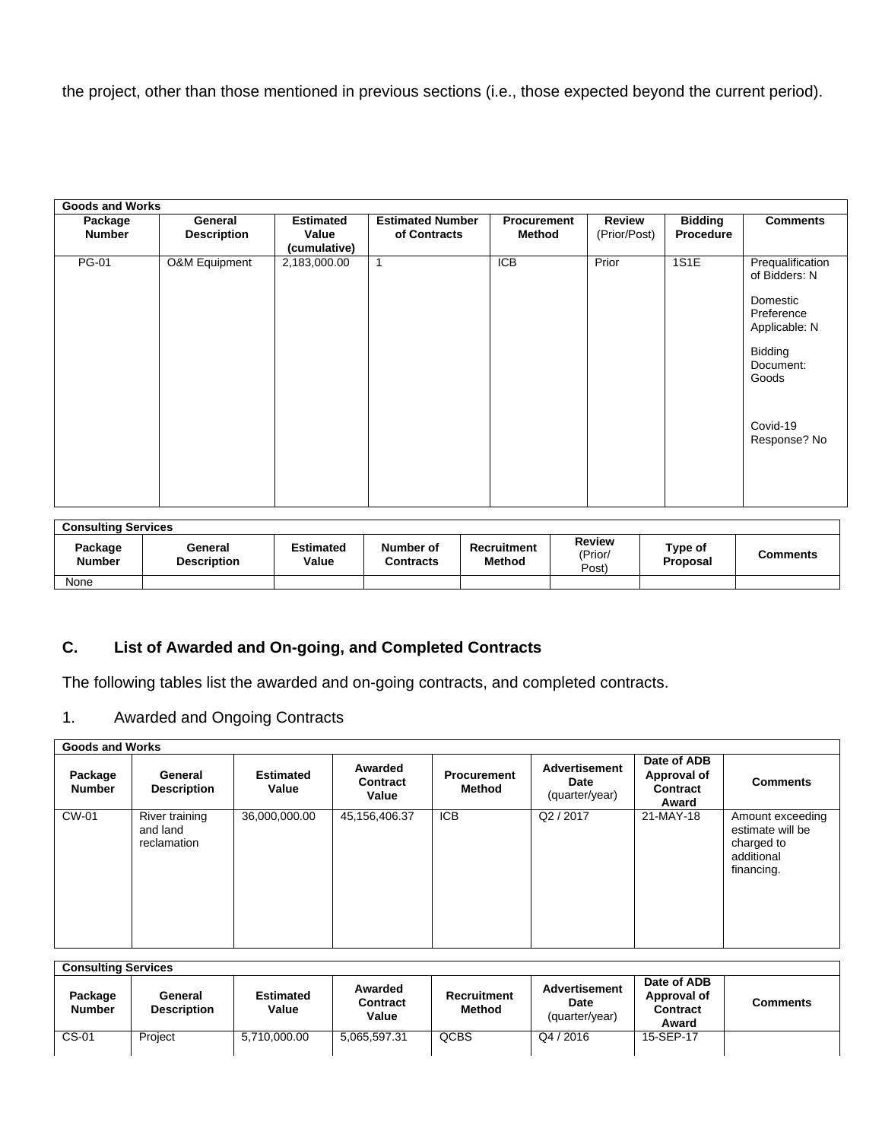the project, other than those mentioned in previous sections (i.e., those expected beyond the current period).

| <b>Goods and Works</b>   |                               |                                           |                                         |                              |                               |                             |                                                                                                                                           |
|--------------------------|-------------------------------|-------------------------------------------|-----------------------------------------|------------------------------|-------------------------------|-----------------------------|-------------------------------------------------------------------------------------------------------------------------------------------|
| Package<br><b>Number</b> | General<br><b>Description</b> | <b>Estimated</b><br>Value<br>(cumulative) | <b>Estimated Number</b><br>of Contracts | Procurement<br><b>Method</b> | <b>Review</b><br>(Prior/Post) | <b>Bidding</b><br>Procedure | <b>Comments</b>                                                                                                                           |
| PG-01                    | <b>O&amp;M Equipment</b>      | 2,183,000.00                              | $\mathbf{1}$                            | <b>ICB</b>                   | Prior                         | 1S1E                        | Prequalification<br>of Bidders: N<br>Domestic<br>Preference<br>Applicable: N<br>Bidding<br>Document:<br>Goods<br>Covid-19<br>Response? No |

| <b>Consulting Services</b> |                               |                    |                               |                       |                            |                     |                 |  |  |  |
|----------------------------|-------------------------------|--------------------|-------------------------------|-----------------------|----------------------------|---------------------|-----------------|--|--|--|
| Package<br><b>Number</b>   | General<br><b>Description</b> | Estimated<br>Value | Number of<br><b>Contracts</b> | Recruitment<br>Method | Review<br>'Prior/<br>Post) | Type of<br>Proposal | <b>Comments</b> |  |  |  |
| None                       |                               |                    |                               |                       |                            |                     |                 |  |  |  |

# **C. List of Awarded and On-going, and Completed Contracts**

The following tables list the awarded and on-going contracts, and completed contracts.

## 1. Awarded and Ongoing Contracts

|                          | Goods and Works                           |                           |                                     |                              |                                                |                                                        |                                                                                |  |  |  |  |
|--------------------------|-------------------------------------------|---------------------------|-------------------------------------|------------------------------|------------------------------------------------|--------------------------------------------------------|--------------------------------------------------------------------------------|--|--|--|--|
| Package<br><b>Number</b> | General<br><b>Description</b>             | <b>Estimated</b><br>Value | Awarded<br><b>Contract</b><br>Value | <b>Procurement</b><br>Method | <b>Advertisement</b><br>Date<br>(quarter/year) | Date of ADB<br>Approval of<br><b>Contract</b><br>Award | <b>Comments</b>                                                                |  |  |  |  |
| <b>CW-01</b>             | River training<br>and land<br>reclamation | 36,000,000.00             | 45,156,406.37                       | <b>ICB</b>                   | Q2 / 2017                                      | 21-MAY-18                                              | Amount exceeding<br>estimate will be<br>charged to<br>additional<br>financing. |  |  |  |  |

| <b>Consulting Services</b> |                               |                    |                                     |                              |                                         |                                                        |          |  |  |  |  |
|----------------------------|-------------------------------|--------------------|-------------------------------------|------------------------------|-----------------------------------------|--------------------------------------------------------|----------|--|--|--|--|
| Package<br><b>Number</b>   | General<br><b>Description</b> | Estimated<br>Value | Awarded<br><b>Contract</b><br>Value | Recruitment<br><b>Method</b> | Advertisement<br>Date<br>(quarter/year) | Date of ADB<br>Approval of<br><b>Contract</b><br>Award | Comments |  |  |  |  |
| $CS-01$                    | Project                       | 5,710,000.00       | 5.065.597.31                        | <b>OCBS</b>                  | Q4 / 2016                               | 15-SEP-17                                              |          |  |  |  |  |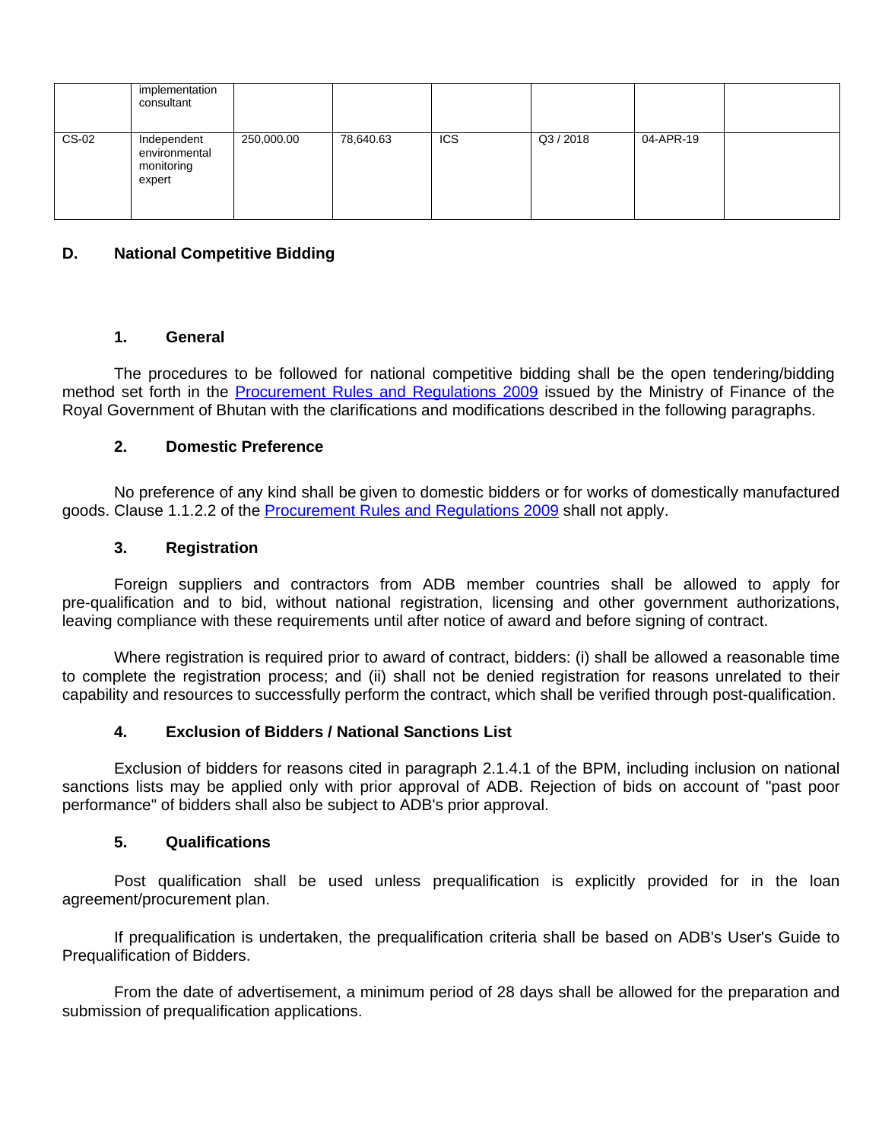|       | implementation<br>consultant                         |            |           |            |           |           |  |
|-------|------------------------------------------------------|------------|-----------|------------|-----------|-----------|--|
| CS-02 | Independent<br>environmental<br>monitoring<br>expert | 250,000.00 | 78,640.63 | <b>ICS</b> | Q3 / 2018 | 04-APR-19 |  |

### **D. National Competitive Bidding**

#### **1. General**

The procedures to be followed for national competitive bidding shall be the open tendering/bidding method set forth in the **[Procurement](http://www.mof.gov.bt/downloads/procurementmanual1.pdf) Rules and Regulations 2009** issued by the Ministry of Finance of the Royal Government of Bhutan with the clarifications and modifications described in the following paragraphs.

#### **2. Domestic Preference**

No preference of any kind shall be given to domestic bidders or for works of domestically manufactured goods. Clause 1.1.2.2 of the **[Procurement](http://www.mof.gov.bt/downloads/procurementmanual1.pdf) Rules and Regulations 2009** shall not apply.

#### **3. Registration**

Foreign suppliers and contractors from ADB member countries shall be allowed to apply for pre-qualification and to bid, without national registration, licensing and other government authorizations, leaving compliance with these requirements until after notice of award and before signing of contract.

Where registration is required prior to award of contract, bidders: (i) shall be allowed a reasonable time to complete the registration process; and (ii) shall not be denied registration for reasons unrelated to their capability and resources to successfully perform the contract, which shall be verified through post-qualification.

#### **4. Exclusion of Bidders / National Sanctions List**

Exclusion of bidders for reasons cited in paragraph 2.1.4.1 of the BPM, including inclusion on national sanctions lists may be applied only with prior approval of ADB. Rejection of bids on account of "past poor performance" of bidders shall also be subject to ADB's prior approval.

#### **5. Qualifications**

Post qualification shall be used unless prequalification is explicitly provided for in the loan agreement/procurement plan.

If prequalification is undertaken, the prequalification criteria shall be based on ADB's User's Guide to Prequalification of Bidders.

From the date of advertisement, a minimum period of 28 days shall be allowed for the preparation and submission of prequalification applications.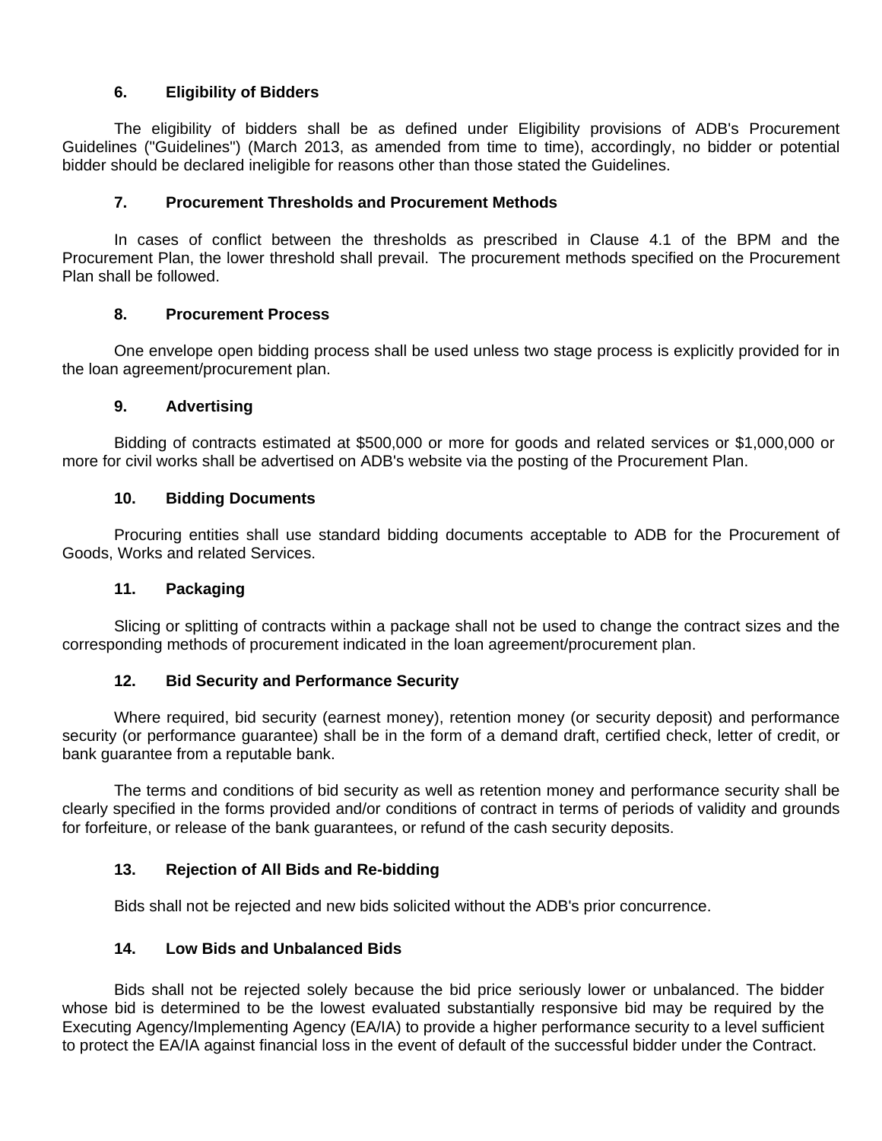## **6. Eligibility of Bidders**

The eligibility of bidders shall be as defined under Eligibility provisions of ADB's Procurement Guidelines ("Guidelines") (March 2013, as amended from time to time), accordingly, no bidder or potential bidder should be declared ineligible for reasons other than those stated the Guidelines.

## **7. Procurement Thresholds and Procurement Methods**

In cases of conflict between the thresholds as prescribed in Clause 4.1 of the BPM and the Procurement Plan, the lower threshold shall prevail. The procurement methods specified on the Procurement Plan shall be followed.

#### **8. Procurement Process**

One envelope open bidding process shall be used unless two stage process is explicitly provided for in the loan agreement/procurement plan.

#### **9. Advertising**

Bidding of contracts estimated at \$500,000 or more for goods and related services or \$1,000,000 or more for civil works shall be advertised on ADB's website via the posting of the Procurement Plan.

#### **10. Bidding Documents**

Procuring entities shall use standard bidding documents acceptable to ADB for the Procurement of Goods, Works and related Services.

#### **11. Packaging**

Slicing or splitting of contracts within a package shall not be used to change the contract sizes and the corresponding methods of procurement indicated in the loan agreement/procurement plan.

## **12. Bid Security and Performance Security**

Where required, bid security (earnest money), retention money (or security deposit) and performance security (or performance guarantee) shall be in the form of a demand draft, certified check, letter of credit, or bank guarantee from a reputable bank.

The terms and conditions of bid security as well as retention money and performance security shall be clearly specified in the forms provided and/or conditions of contract in terms of periods of validity and grounds for forfeiture, or release of the bank guarantees, or refund of the cash security deposits.

## **13. Rejection of All Bids and Re-bidding**

Bids shall not be rejected and new bids solicited without the ADB's prior concurrence.

#### **14. Low Bids and Unbalanced Bids**

Bids shall not be rejected solely because the bid price seriously lower or unbalanced. The bidder whose bid is determined to be the lowest evaluated substantially responsive bid may be required by the Executing Agency/Implementing Agency (EA/IA) to provide a higher performance security to a level sufficient to protect the EA/IA against financial loss in the event of default of the successful bidder under the Contract.